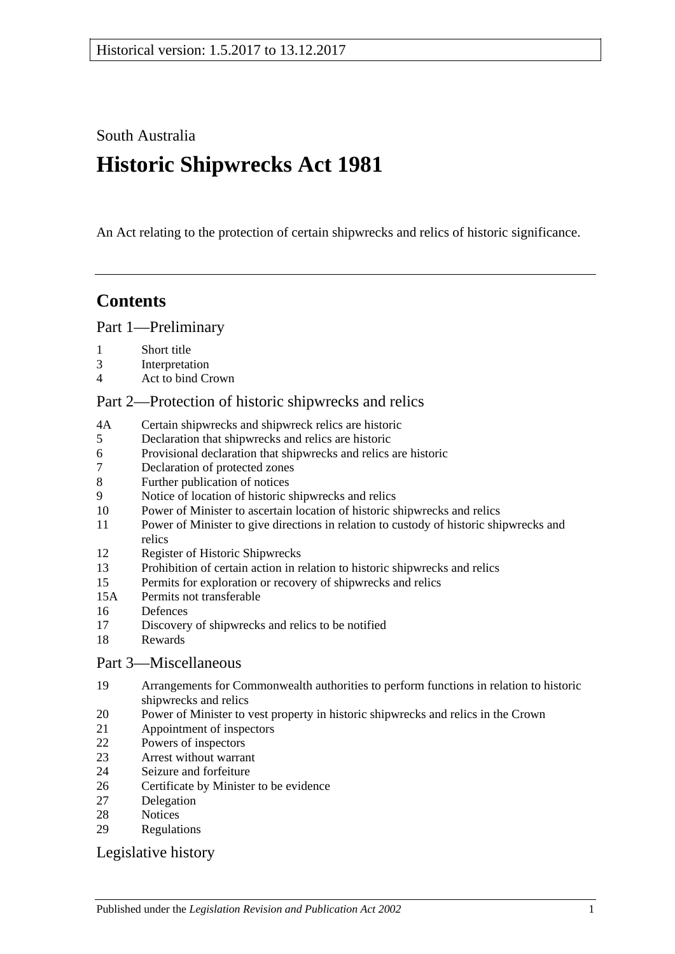South Australia

# **Historic Shipwrecks Act 1981**

An Act relating to the protection of certain shipwrecks and relics of historic significance.

# **Contents**

[Part 1—Preliminary](#page-1-0)

- [Short title](#page-1-1)
- [Interpretation](#page-1-2)
- [Act to bind Crown](#page-2-0)

# [Part 2—Protection of historic shipwrecks and relics](#page-2-1)

- 4A [Certain shipwrecks and shipwreck relics are historic](#page-2-2)
- [Declaration that shipwrecks and relics are historic](#page-3-0)
- [Provisional declaration that shipwrecks and relics are historic](#page-3-1)
- [Declaration of protected zones](#page-4-0)
- [Further publication of notices](#page-4-1)
- [Notice of location of historic shipwrecks and relics](#page-4-2)
- [Power of Minister to ascertain location of historic shipwrecks and relics](#page-5-0)
- [Power of Minister to give directions in relation to custody of historic shipwrecks and](#page-5-1)  [relics](#page-5-1)
- [Register of Historic Shipwrecks](#page-6-0)
- [Prohibition of certain action in relation to historic shipwrecks and relics](#page-6-1)
- [Permits for exploration or recovery of shipwrecks and relics](#page-7-0)
- 15A [Permits not transferable](#page-8-0)
- [Defences](#page-8-1)
- [Discovery of shipwrecks and relics to be notified](#page-9-0)
- [Rewards](#page-9-1)

# [Part 3—Miscellaneous](#page-10-0)

- [Arrangements for Commonwealth authorities to perform functions in relation to historic](#page-10-1)  [shipwrecks and relics](#page-10-1)
- [Power of Minister to vest property in historic shipwrecks and relics in](#page-10-2) the Crown
- [Appointment of inspectors](#page-10-3)
- [Powers of inspectors](#page-10-4)
- [Arrest without warrant](#page-12-0)
- [Seizure and forfeiture](#page-12-1)
- [Certificate by Minister to be evidence](#page-13-0)
- [Delegation](#page-13-1)
- [Notices](#page-14-0)
- [Regulations](#page-14-1)

# [Legislative history](#page-16-0)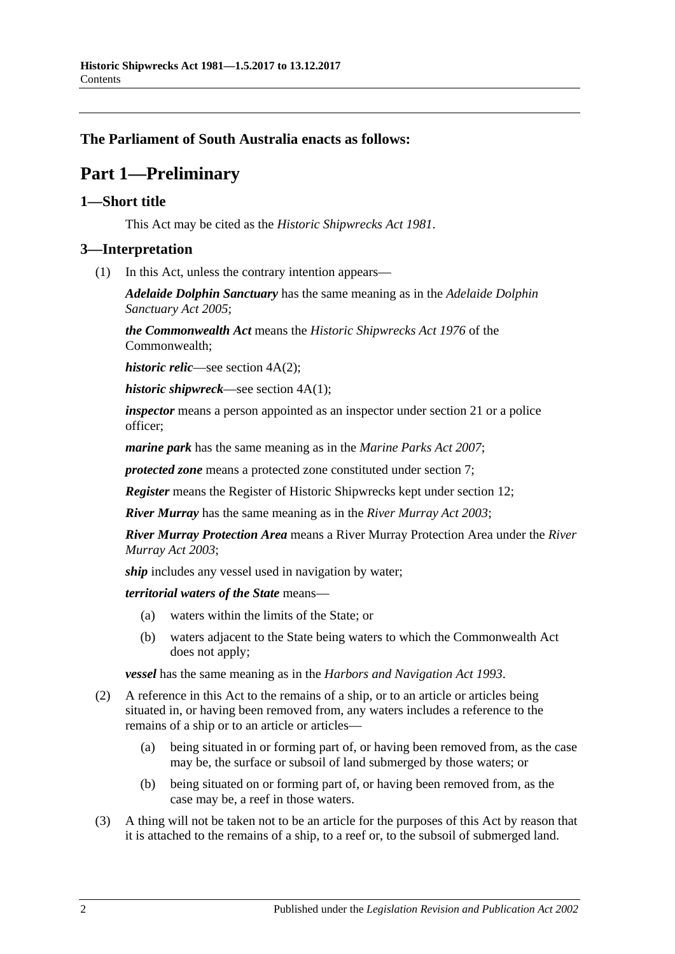# <span id="page-1-0"></span>**The Parliament of South Australia enacts as follows:**

# **Part 1—Preliminary**

# <span id="page-1-1"></span>**1—Short title**

This Act may be cited as the *Historic Shipwrecks Act 1981*.

# <span id="page-1-2"></span>**3—Interpretation**

(1) In this Act, unless the contrary intention appears—

*Adelaide Dolphin Sanctuary* has the same meaning as in the *[Adelaide Dolphin](http://www.legislation.sa.gov.au/index.aspx?action=legref&type=act&legtitle=Adelaide%20Dolphin%20Sanctuary%20Act%202005)  [Sanctuary Act](http://www.legislation.sa.gov.au/index.aspx?action=legref&type=act&legtitle=Adelaide%20Dolphin%20Sanctuary%20Act%202005) 2005*;

*the Commonwealth Act* means the *Historic Shipwrecks Act 1976* of the Commonwealth;

*historic relic*—see section 4A(2);

*historic shipwreck*—see section 4A(1);

*inspector* means a person appointed as an inspector under [section](#page-10-3) 21 or a police officer;

*marine park* has the same meaning as in the *[Marine Parks Act](http://www.legislation.sa.gov.au/index.aspx?action=legref&type=act&legtitle=Marine%20Parks%20Act%202007) 2007*;

*protected zone* means a protected zone constituted under [section](#page-4-0) 7;

*Register* means the Register of Historic Shipwrecks kept under [section](#page-6-0) 12;

*River Murray* has the same meaning as in the *[River Murray Act](http://www.legislation.sa.gov.au/index.aspx?action=legref&type=act&legtitle=River%20Murray%20Act%202003) 2003*;

*River Murray Protection Area* means a River Murray Protection Area under the *[River](http://www.legislation.sa.gov.au/index.aspx?action=legref&type=act&legtitle=River%20Murray%20Act%202003)  [Murray Act](http://www.legislation.sa.gov.au/index.aspx?action=legref&type=act&legtitle=River%20Murray%20Act%202003) 2003*;

*ship* includes any vessel used in navigation by water;

*territorial waters of the State* means—

- (a) waters within the limits of the State; or
- (b) waters adjacent to the State being waters to which the Commonwealth Act does not apply;

*vessel* has the same meaning as in the *[Harbors and Navigation Act](http://www.legislation.sa.gov.au/index.aspx?action=legref&type=act&legtitle=Harbors%20and%20Navigation%20Act%201993) 1993*.

- (2) A reference in this Act to the remains of a ship, or to an article or articles being situated in, or having been removed from, any waters includes a reference to the remains of a ship or to an article or articles—
	- (a) being situated in or forming part of, or having been removed from, as the case may be, the surface or subsoil of land submerged by those waters; or
	- (b) being situated on or forming part of, or having been removed from, as the case may be, a reef in those waters.
- (3) A thing will not be taken not to be an article for the purposes of this Act by reason that it is attached to the remains of a ship, to a reef or, to the subsoil of submerged land.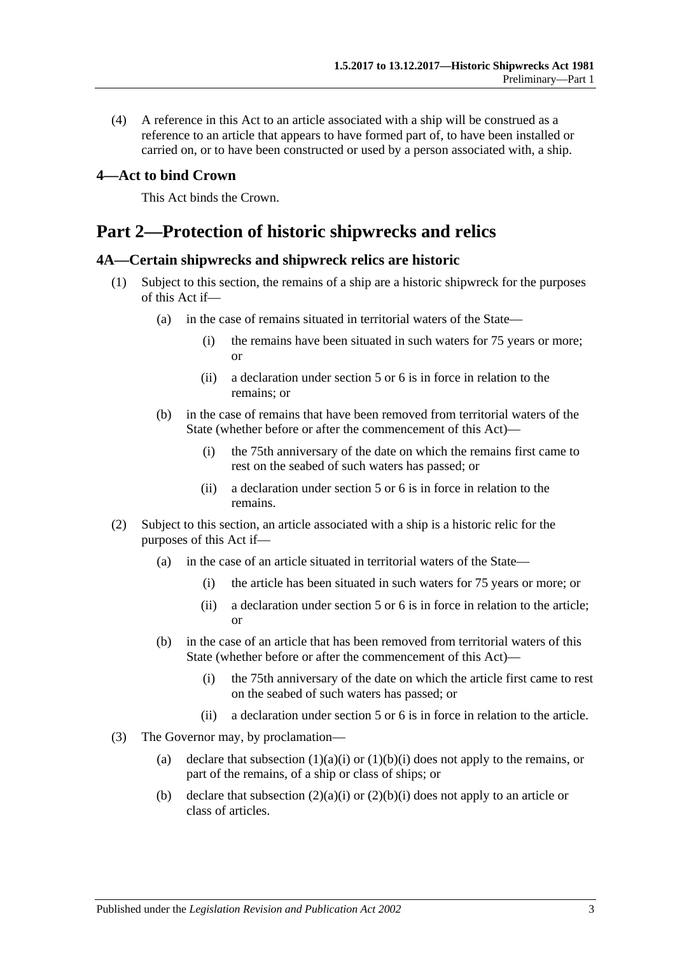(4) A reference in this Act to an article associated with a ship will be construed as a reference to an article that appears to have formed part of, to have been installed or carried on, or to have been constructed or used by a person associated with, a ship.

### <span id="page-2-0"></span>**4—Act to bind Crown**

This Act binds the Crown.

# <span id="page-2-1"></span>**Part 2—Protection of historic shipwrecks and relics**

#### <span id="page-2-2"></span>**4A—Certain shipwrecks and shipwreck relics are historic**

- <span id="page-2-3"></span>(1) Subject to this section, the remains of a ship are a historic shipwreck for the purposes of this Act if—
	- (a) in the case of remains situated in territorial waters of the State—
		- (i) the remains have been situated in such waters for 75 years or more; or
		- (ii) a declaration under section 5 or 6 is in force in relation to the remains; or
	- (b) in the case of remains that have been removed from territorial waters of the State (whether before or after the commencement of this Act)—
		- (i) the 75th anniversary of the date on which the remains first came to rest on the seabed of such waters has passed; or
		- (ii) a declaration under section 5 or 6 is in force in relation to the remains.
- <span id="page-2-5"></span><span id="page-2-4"></span>(2) Subject to this section, an article associated with a ship is a historic relic for the purposes of this Act if—
	- (a) in the case of an article situated in territorial waters of the State—
		- (i) the article has been situated in such waters for 75 years or more; or
		- (ii) a declaration under section 5 or 6 is in force in relation to the article; or
	- (b) in the case of an article that has been removed from territorial waters of this State (whether before or after the commencement of this Act)—
		- (i) the 75th anniversary of the date on which the article first came to rest on the seabed of such waters has passed; or
		- (ii) a declaration under section 5 or 6 is in force in relation to the article.
- <span id="page-2-6"></span>(3) The Governor may, by proclamation
	- (a) declare that [subsection](#page-2-3)  $(1)(a)(i)$  or  $(1)(b)(i)$  does not apply to the remains, or part of the remains, of a ship or class of ships; or
	- (b) declare that [subsection](#page-2-5)  $(2)(a)(i)$  or  $(2)(b)(i)$  does not apply to an article or class of articles.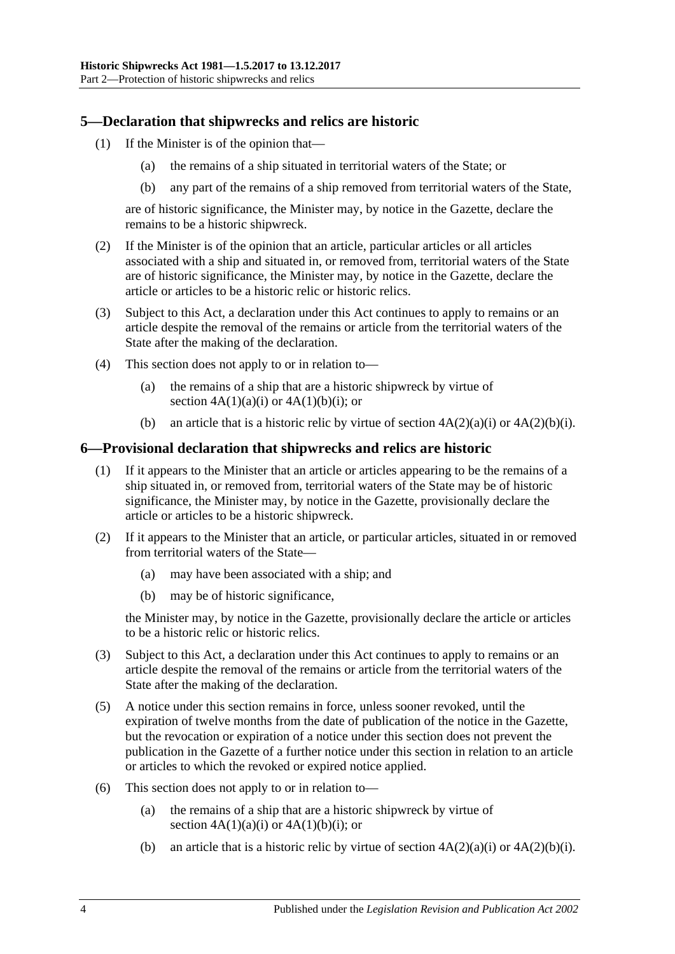# <span id="page-3-0"></span>**5—Declaration that shipwrecks and relics are historic**

- (1) If the Minister is of the opinion that—
	- (a) the remains of a ship situated in territorial waters of the State; or
	- (b) any part of the remains of a ship removed from territorial waters of the State,

are of historic significance, the Minister may, by notice in the Gazette, declare the remains to be a historic shipwreck.

- (2) If the Minister is of the opinion that an article, particular articles or all articles associated with a ship and situated in, or removed from, territorial waters of the State are of historic significance, the Minister may, by notice in the Gazette, declare the article or articles to be a historic relic or historic relics.
- (3) Subject to this Act, a declaration under this Act continues to apply to remains or an article despite the removal of the remains or article from the territorial waters of the State after the making of the declaration.
- (4) This section does not apply to or in relation to—
	- (a) the remains of a ship that are a historic shipwreck by virtue of section  $4A(1)(a)(i)$  or  $4A(1)(b)(i)$ ; or
	- (b) an article that is a historic relic by virtue of section  $4A(2)(a)(i)$  or  $4A(2)(b)(i)$ .

# <span id="page-3-1"></span>**6—Provisional declaration that shipwrecks and relics are historic**

- (1) If it appears to the Minister that an article or articles appearing to be the remains of a ship situated in, or removed from, territorial waters of the State may be of historic significance, the Minister may, by notice in the Gazette, provisionally declare the article or articles to be a historic shipwreck.
- (2) If it appears to the Minister that an article, or particular articles, situated in or removed from territorial waters of the State—
	- (a) may have been associated with a ship; and
	- (b) may be of historic significance,

the Minister may, by notice in the Gazette, provisionally declare the article or articles to be a historic relic or historic relics.

- (3) Subject to this Act, a declaration under this Act continues to apply to remains or an article despite the removal of the remains or article from the territorial waters of the State after the making of the declaration.
- (5) A notice under this section remains in force, unless sooner revoked, until the expiration of twelve months from the date of publication of the notice in the Gazette, but the revocation or expiration of a notice under this section does not prevent the publication in the Gazette of a further notice under this section in relation to an article or articles to which the revoked or expired notice applied.
- (6) This section does not apply to or in relation to—
	- (a) the remains of a ship that are a historic shipwreck by virtue of section  $4A(1)(a)(i)$  or  $4A(1)(b)(i)$ ; or
	- (b) an article that is a historic relic by virtue of section  $4A(2)(a)(i)$  or  $4A(2)(b)(i)$ .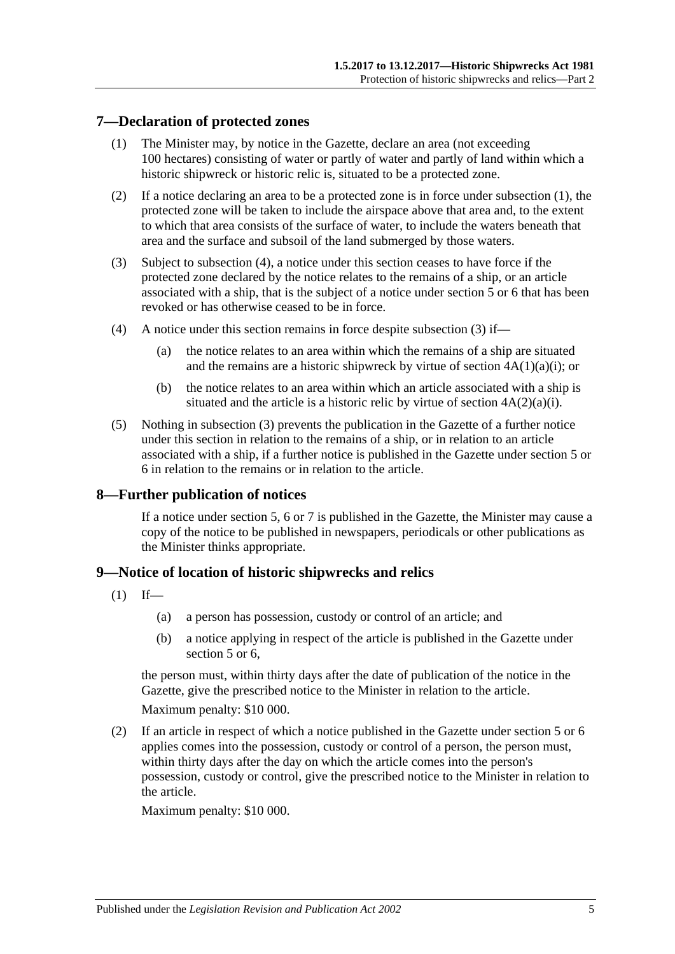# <span id="page-4-3"></span><span id="page-4-0"></span>**7—Declaration of protected zones**

- (1) The Minister may, by notice in the Gazette, declare an area (not exceeding 100 hectares) consisting of water or partly of water and partly of land within which a historic shipwreck or historic relic is, situated to be a protected zone.
- (2) If a notice declaring an area to be a protected zone is in force under [subsection](#page-4-3) (1), the protected zone will be taken to include the airspace above that area and, to the extent to which that area consists of the surface of water, to include the waters beneath that area and the surface and subsoil of the land submerged by those waters.
- <span id="page-4-5"></span>(3) Subject to [subsection](#page-4-4) (4), a notice under this section ceases to have force if the protected zone declared by the notice relates to the remains of a ship, or an article associated with a ship, that is the subject of a notice under [section](#page-3-0) 5 or [6](#page-3-1) that has been revoked or has otherwise ceased to be in force.
- <span id="page-4-4"></span>(4) A notice under this section remains in force despite [subsection](#page-4-5) (3) if—
	- (a) the notice relates to an area within which the remains of a ship are situated and the remains are a historic shipwreck by virtue of section  $4A(1)(a)(i)$ ; or
	- (b) the notice relates to an area within which an article associated with a ship is situated and the article is a historic relic by virtue of section  $4A(2)(a)(i)$ .
- (5) Nothing in [subsection](#page-4-5) (3) prevents the publication in the Gazette of a further notice under this section in relation to the remains of a ship, or in relation to an article associated with a ship, if a further notice is published in the Gazette under [section](#page-3-0) 5 or [6](#page-3-1) in relation to the remains or in relation to the article.

# <span id="page-4-1"></span>**8—Further publication of notices**

If a notice under [section](#page-3-0) 5, [6](#page-3-1) or [7](#page-4-0) is published in the Gazette, the Minister may cause a copy of the notice to be published in newspapers, periodicals or other publications as the Minister thinks appropriate.

# <span id="page-4-6"></span><span id="page-4-2"></span>**9—Notice of location of historic shipwrecks and relics**

- $(1)$  If—
	- (a) a person has possession, custody or control of an article; and
	- (b) a notice applying in respect of the article is published in the Gazette under [section](#page-3-0) 5 or 6.

the person must, within thirty days after the date of publication of the notice in the Gazette, give the prescribed notice to the Minister in relation to the article.

Maximum penalty: \$10 000.

<span id="page-4-7"></span>(2) If an article in respect of which a notice published in the Gazette under [section](#page-3-0) 5 or [6](#page-3-1) applies comes into the possession, custody or control of a person, the person must, within thirty days after the day on which the article comes into the person's possession, custody or control, give the prescribed notice to the Minister in relation to the article.

Maximum penalty: \$10 000.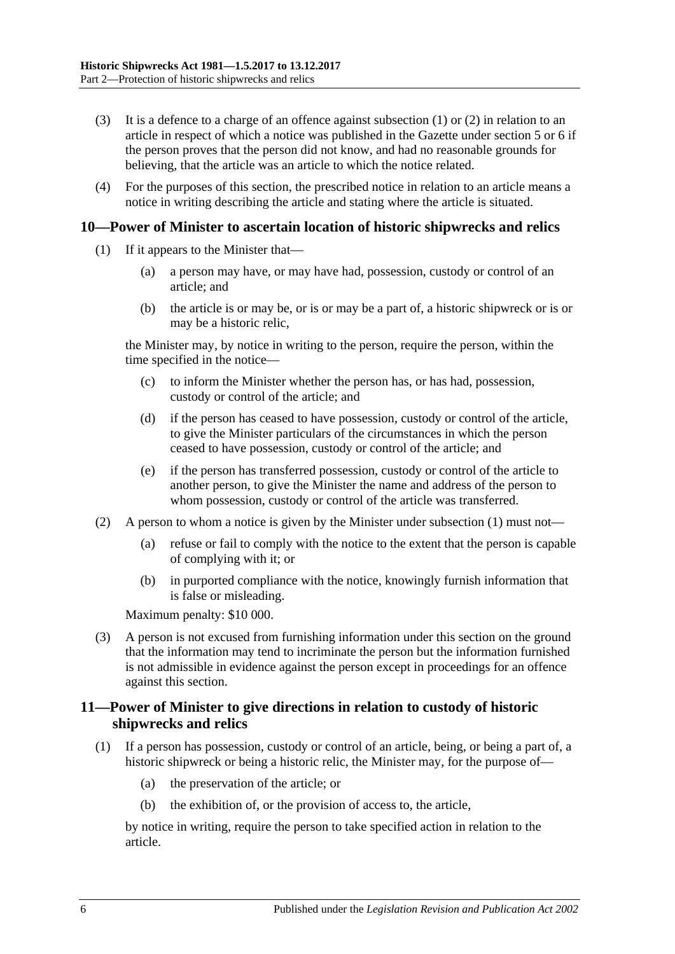- (3) It is a defence to a charge of an offence against [subsection](#page-4-6) (1) or [\(2\)](#page-4-7) in relation to an article in respect of which a notice was published in the Gazette under [section](#page-3-0) 5 or [6](#page-3-1) if the person proves that the person did not know, and had no reasonable grounds for believing, that the article was an article to which the notice related.
- (4) For the purposes of this section, the prescribed notice in relation to an article means a notice in writing describing the article and stating where the article is situated.

#### <span id="page-5-2"></span><span id="page-5-0"></span>**10—Power of Minister to ascertain location of historic shipwrecks and relics**

- (1) If it appears to the Minister that—
	- (a) a person may have, or may have had, possession, custody or control of an article; and
	- (b) the article is or may be, or is or may be a part of, a historic shipwreck or is or may be a historic relic,

the Minister may, by notice in writing to the person, require the person, within the time specified in the notice—

- (c) to inform the Minister whether the person has, or has had, possession, custody or control of the article; and
- (d) if the person has ceased to have possession, custody or control of the article, to give the Minister particulars of the circumstances in which the person ceased to have possession, custody or control of the article; and
- (e) if the person has transferred possession, custody or control of the article to another person, to give the Minister the name and address of the person to whom possession, custody or control of the article was transferred.
- (2) A person to whom a notice is given by the Minister under [subsection](#page-5-2) (1) must not—
	- (a) refuse or fail to comply with the notice to the extent that the person is capable of complying with it; or
	- (b) in purported compliance with the notice, knowingly furnish information that is false or misleading.

Maximum penalty: \$10 000.

(3) A person is not excused from furnishing information under this section on the ground that the information may tend to incriminate the person but the information furnished is not admissible in evidence against the person except in proceedings for an offence against this section.

# <span id="page-5-1"></span>**11—Power of Minister to give directions in relation to custody of historic shipwrecks and relics**

- <span id="page-5-3"></span>(1) If a person has possession, custody or control of an article, being, or being a part of, a historic shipwreck or being a historic relic, the Minister may, for the purpose of—
	- (a) the preservation of the article; or
	- (b) the exhibition of, or the provision of access to, the article,

by notice in writing, require the person to take specified action in relation to the article.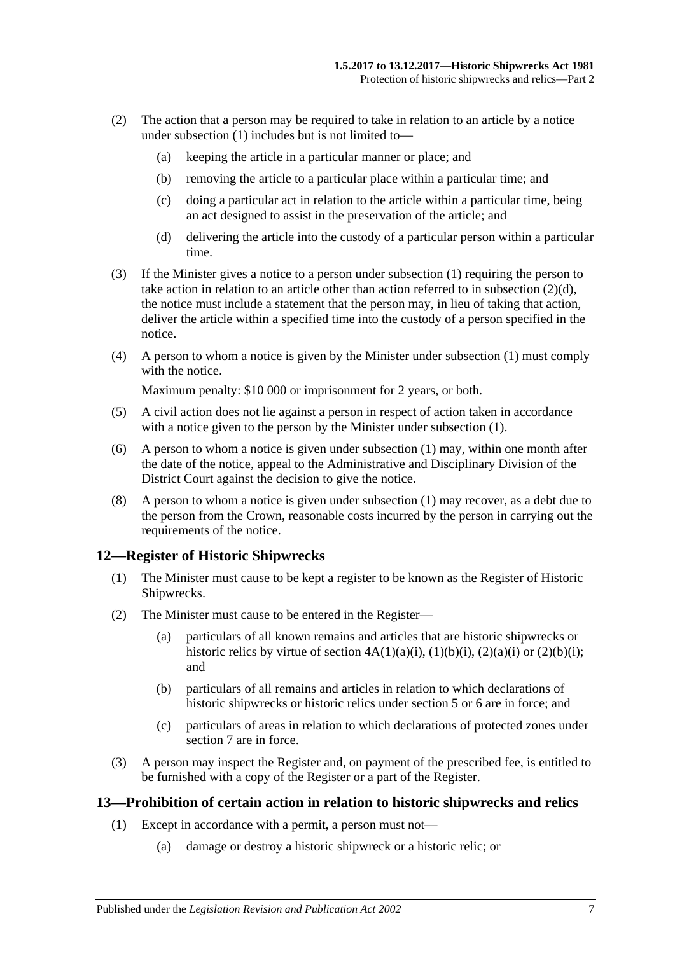- (2) The action that a person may be required to take in relation to an article by a notice under [subsection](#page-5-3)  $(1)$  includes but is not limited to-
	- (a) keeping the article in a particular manner or place; and
	- (b) removing the article to a particular place within a particular time; and
	- (c) doing a particular act in relation to the article within a particular time, being an act designed to assist in the preservation of the article; and
	- (d) delivering the article into the custody of a particular person within a particular time.
- <span id="page-6-2"></span>(3) If the Minister gives a notice to a person under [subsection](#page-5-3) (1) requiring the person to take action in relation to an article other than action referred to in [subsection](#page-6-2) (2)(d), the notice must include a statement that the person may, in lieu of taking that action, deliver the article within a specified time into the custody of a person specified in the notice.
- (4) A person to whom a notice is given by the Minister under [subsection](#page-5-3) (1) must comply with the notice.

Maximum penalty: \$10 000 or imprisonment for 2 years, or both.

- (5) A civil action does not lie against a person in respect of action taken in accordance with a notice given to the person by the Minister under [subsection](#page-5-3) (1).
- (6) A person to whom a notice is given under [subsection](#page-5-3) (1) may, within one month after the date of the notice, appeal to the Administrative and Disciplinary Division of the District Court against the decision to give the notice.
- (8) A person to whom a notice is given under [subsection](#page-5-3) (1) may recover, as a debt due to the person from the Crown, reasonable costs incurred by the person in carrying out the requirements of the notice.

# <span id="page-6-0"></span>**12—Register of Historic Shipwrecks**

- (1) The Minister must cause to be kept a register to be known as the Register of Historic Shipwrecks.
- (2) The Minister must cause to be entered in the Register—
	- (a) particulars of all known remains and articles that are historic shipwrecks or historic relics by virtue of section  $4A(1)(a)(i)$ ,  $(1)(b)(i)$ ,  $(2)(a)(i)$  or  $(2)(b)(i)$ ; and
	- (b) particulars of all remains and articles in relation to which declarations of historic shipwrecks or historic relics under [section](#page-3-0) 5 or [6](#page-3-1) are in force; and
	- (c) particulars of areas in relation to which declarations of protected zones under [section](#page-4-0) 7 are in force.
- (3) A person may inspect the Register and, on payment of the prescribed fee, is entitled to be furnished with a copy of the Register or a part of the Register.

# <span id="page-6-3"></span><span id="page-6-1"></span>**13—Prohibition of certain action in relation to historic shipwrecks and relics**

- (1) Except in accordance with a permit, a person must not—
	- (a) damage or destroy a historic shipwreck or a historic relic; or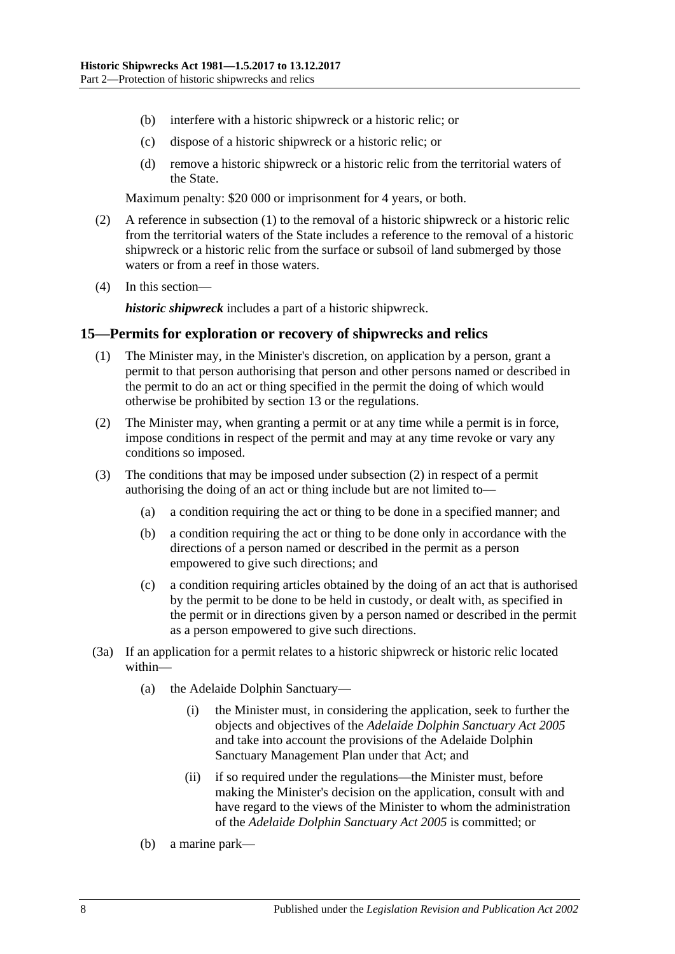- (b) interfere with a historic shipwreck or a historic relic; or
- (c) dispose of a historic shipwreck or a historic relic; or
- (d) remove a historic shipwreck or a historic relic from the territorial waters of the State.

Maximum penalty: \$20 000 or imprisonment for 4 years, or both.

- (2) A reference in [subsection](#page-6-3) (1) to the removal of a historic shipwreck or a historic relic from the territorial waters of the State includes a reference to the removal of a historic shipwreck or a historic relic from the surface or subsoil of land submerged by those waters or from a reef in those waters.
- (4) In this section—

*historic shipwreck* includes a part of a historic shipwreck.

#### <span id="page-7-0"></span>**15—Permits for exploration or recovery of shipwrecks and relics**

- (1) The Minister may, in the Minister's discretion, on application by a person, grant a permit to that person authorising that person and other persons named or described in the permit to do an act or thing specified in the permit the doing of which would otherwise be prohibited by [section](#page-6-1) 13 or the regulations.
- <span id="page-7-1"></span>(2) The Minister may, when granting a permit or at any time while a permit is in force, impose conditions in respect of the permit and may at any time revoke or vary any conditions so imposed.
- (3) The conditions that may be imposed under [subsection](#page-7-1) (2) in respect of a permit authorising the doing of an act or thing include but are not limited to—
	- (a) a condition requiring the act or thing to be done in a specified manner; and
	- (b) a condition requiring the act or thing to be done only in accordance with the directions of a person named or described in the permit as a person empowered to give such directions; and
	- (c) a condition requiring articles obtained by the doing of an act that is authorised by the permit to be done to be held in custody, or dealt with, as specified in the permit or in directions given by a person named or described in the permit as a person empowered to give such directions.
- (3a) If an application for a permit relates to a historic shipwreck or historic relic located within—
	- (a) the Adelaide Dolphin Sanctuary—
		- (i) the Minister must, in considering the application, seek to further the objects and objectives of the *[Adelaide Dolphin Sanctuary Act](http://www.legislation.sa.gov.au/index.aspx?action=legref&type=act&legtitle=Adelaide%20Dolphin%20Sanctuary%20Act%202005) 2005* and take into account the provisions of the Adelaide Dolphin Sanctuary Management Plan under that Act; and
		- (ii) if so required under the regulations—the Minister must, before making the Minister's decision on the application, consult with and have regard to the views of the Minister to whom the administration of the *[Adelaide Dolphin Sanctuary Act](http://www.legislation.sa.gov.au/index.aspx?action=legref&type=act&legtitle=Adelaide%20Dolphin%20Sanctuary%20Act%202005) 2005* is committed; or
	- (b) a marine park—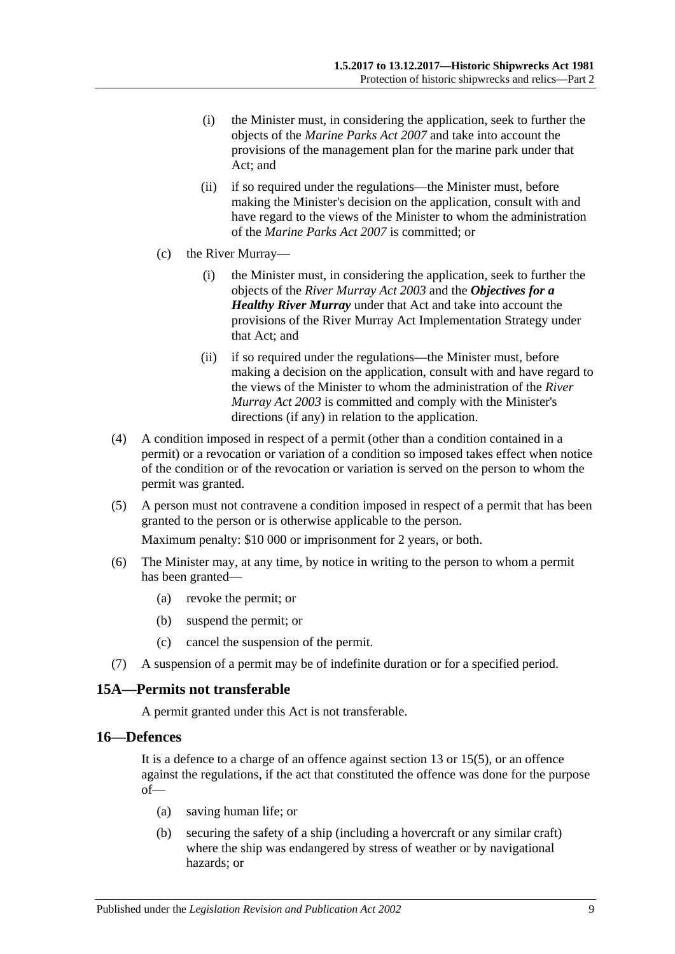- (i) the Minister must, in considering the application, seek to further the objects of the *[Marine Parks Act](http://www.legislation.sa.gov.au/index.aspx?action=legref&type=act&legtitle=Marine%20Parks%20Act%202007) 2007* and take into account the provisions of the management plan for the marine park under that Act; and
- (ii) if so required under the regulations—the Minister must, before making the Minister's decision on the application, consult with and have regard to the views of the Minister to whom the administration of the *[Marine Parks Act](http://www.legislation.sa.gov.au/index.aspx?action=legref&type=act&legtitle=Marine%20Parks%20Act%202007) 2007* is committed; or
- (c) the River Murray—
	- (i) the Minister must, in considering the application, seek to further the objects of the *[River Murray Act](http://www.legislation.sa.gov.au/index.aspx?action=legref&type=act&legtitle=River%20Murray%20Act%202003) 2003* and the *Objectives for a Healthy River Murray* under that Act and take into account the provisions of the River Murray Act Implementation Strategy under that Act; and
	- (ii) if so required under the regulations—the Minister must, before making a decision on the application, consult with and have regard to the views of the Minister to whom the administration of the *[River](http://www.legislation.sa.gov.au/index.aspx?action=legref&type=act&legtitle=River%20Murray%20Act%202003)  [Murray Act](http://www.legislation.sa.gov.au/index.aspx?action=legref&type=act&legtitle=River%20Murray%20Act%202003) 2003* is committed and comply with the Minister's directions (if any) in relation to the application.
- (4) A condition imposed in respect of a permit (other than a condition contained in a permit) or a revocation or variation of a condition so imposed takes effect when notice of the condition or of the revocation or variation is served on the person to whom the permit was granted.
- (5) A person must not contravene a condition imposed in respect of a permit that has been granted to the person or is otherwise applicable to the person.

Maximum penalty: \$10 000 or imprisonment for 2 years, or both.

- (6) The Minister may, at any time, by notice in writing to the person to whom a permit has been granted—
	- (a) revoke the permit; or
	- (b) suspend the permit; or
	- (c) cancel the suspension of the permit.
- (7) A suspension of a permit may be of indefinite duration or for a specified period.

# <span id="page-8-0"></span>**15A—Permits not transferable**

A permit granted under this Act is not transferable.

#### <span id="page-8-1"></span>**16—Defences**

It is a defence to a charge of an offence against section 13 or 15(5), or an offence against the regulations, if the act that constituted the offence was done for the purpose of—

- (a) saving human life; or
- (b) securing the safety of a ship (including a hovercraft or any similar craft) where the ship was endangered by stress of weather or by navigational hazards; or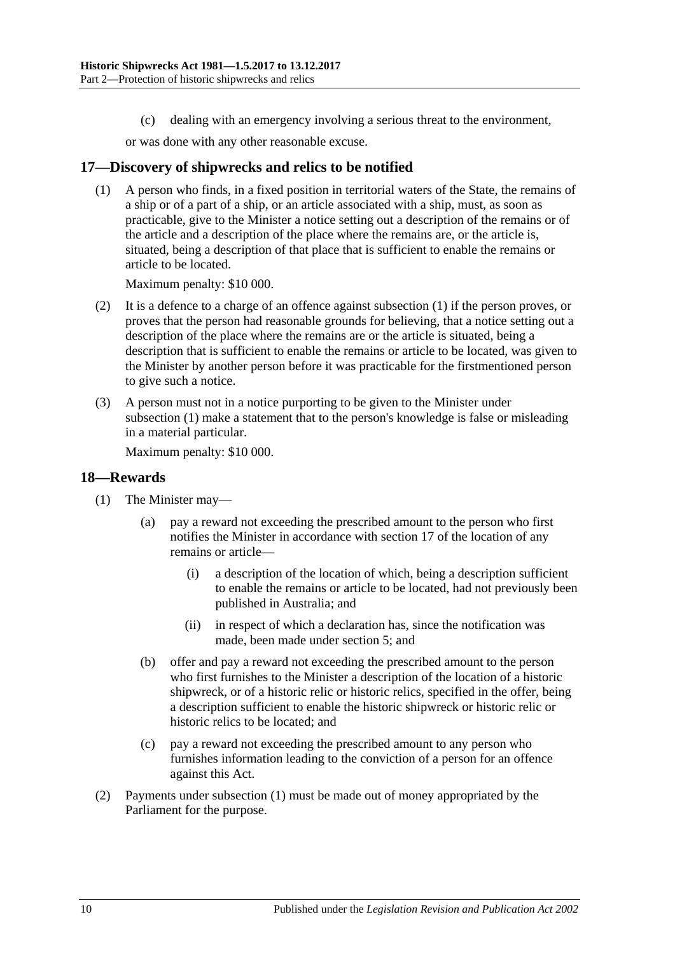(c) dealing with an emergency involving a serious threat to the environment,

or was done with any other reasonable excuse.

# <span id="page-9-2"></span><span id="page-9-0"></span>**17—Discovery of shipwrecks and relics to be notified**

(1) A person who finds, in a fixed position in territorial waters of the State, the remains of a ship or of a part of a ship, or an article associated with a ship, must, as soon as practicable, give to the Minister a notice setting out a description of the remains or of the article and a description of the place where the remains are, or the article is, situated, being a description of that place that is sufficient to enable the remains or article to be located.

Maximum penalty: \$10 000.

- (2) It is a defence to a charge of an offence against [subsection](#page-9-2) (1) if the person proves, or proves that the person had reasonable grounds for believing, that a notice setting out a description of the place where the remains are or the article is situated, being a description that is sufficient to enable the remains or article to be located, was given to the Minister by another person before it was practicable for the firstmentioned person to give such a notice.
- (3) A person must not in a notice purporting to be given to the Minister under [subsection](#page-9-2) (1) make a statement that to the person's knowledge is false or misleading in a material particular.

Maximum penalty: \$10 000.

#### <span id="page-9-3"></span><span id="page-9-1"></span>**18—Rewards**

- (1) The Minister may—
	- (a) pay a reward not exceeding the prescribed amount to the person who first notifies the Minister in accordance with [section](#page-9-0) 17 of the location of any remains or article—
		- (i) a description of the location of which, being a description sufficient to enable the remains or article to be located, had not previously been published in Australia; and
		- (ii) in respect of which a declaration has, since the notification was made, been made under [section](#page-3-0) 5; and
	- (b) offer and pay a reward not exceeding the prescribed amount to the person who first furnishes to the Minister a description of the location of a historic shipwreck, or of a historic relic or historic relics, specified in the offer, being a description sufficient to enable the historic shipwreck or historic relic or historic relics to be located; and
	- (c) pay a reward not exceeding the prescribed amount to any person who furnishes information leading to the conviction of a person for an offence against this Act.
- (2) Payments under [subsection](#page-9-3) (1) must be made out of money appropriated by the Parliament for the purpose.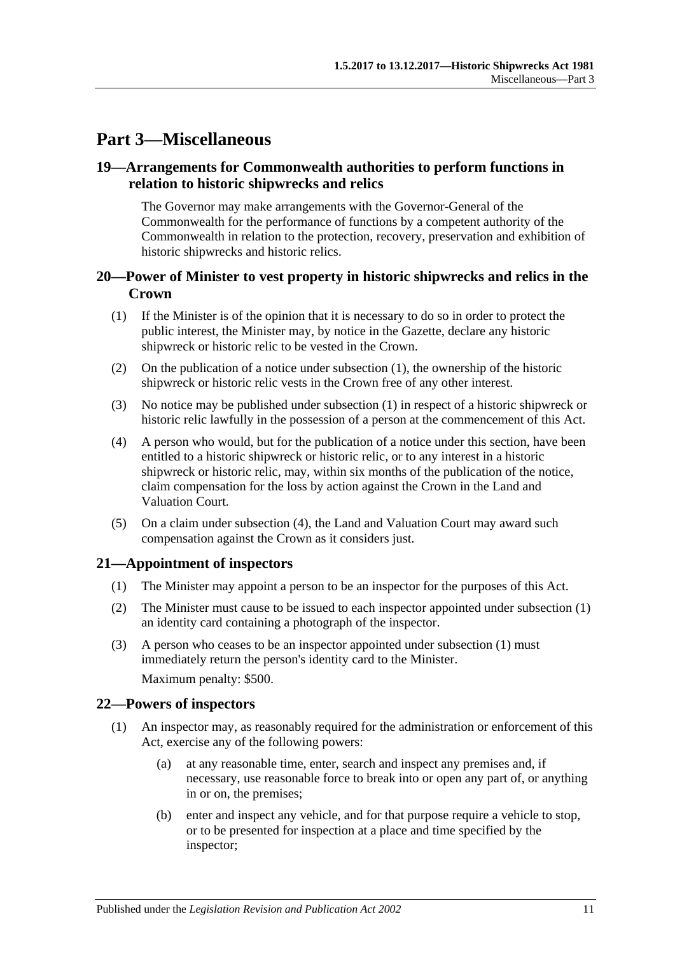# <span id="page-10-0"></span>**Part 3—Miscellaneous**

# <span id="page-10-1"></span>**19—Arrangements for Commonwealth authorities to perform functions in relation to historic shipwrecks and relics**

The Governor may make arrangements with the Governor-General of the Commonwealth for the performance of functions by a competent authority of the Commonwealth in relation to the protection, recovery, preservation and exhibition of historic shipwrecks and historic relics.

# <span id="page-10-2"></span>**20—Power of Minister to vest property in historic shipwrecks and relics in the Crown**

- <span id="page-10-5"></span>(1) If the Minister is of the opinion that it is necessary to do so in order to protect the public interest, the Minister may, by notice in the Gazette, declare any historic shipwreck or historic relic to be vested in the Crown.
- (2) On the publication of a notice under [subsection](#page-10-5) (1), the ownership of the historic shipwreck or historic relic vests in the Crown free of any other interest.
- (3) No notice may be published under [subsection](#page-10-5) (1) in respect of a historic shipwreck or historic relic lawfully in the possession of a person at the commencement of this Act.
- <span id="page-10-6"></span>(4) A person who would, but for the publication of a notice under this section, have been entitled to a historic shipwreck or historic relic, or to any interest in a historic shipwreck or historic relic, may, within six months of the publication of the notice, claim compensation for the loss by action against the Crown in the Land and Valuation Court.
- (5) On a claim under [subsection](#page-10-6) (4), the Land and Valuation Court may award such compensation against the Crown as it considers just.

# <span id="page-10-7"></span><span id="page-10-3"></span>**21—Appointment of inspectors**

- (1) The Minister may appoint a person to be an inspector for the purposes of this Act.
- (2) The Minister must cause to be issued to each inspector appointed under [subsection](#page-10-7) (1) an identity card containing a photograph of the inspector.
- (3) A person who ceases to be an inspector appointed under [subsection](#page-10-7) (1) must immediately return the person's identity card to the Minister. Maximum penalty: \$500.

# <span id="page-10-4"></span>**22—Powers of inspectors**

- <span id="page-10-8"></span>(1) An inspector may, as reasonably required for the administration or enforcement of this Act, exercise any of the following powers:
	- (a) at any reasonable time, enter, search and inspect any premises and, if necessary, use reasonable force to break into or open any part of, or anything in or on, the premises;
	- (b) enter and inspect any vehicle, and for that purpose require a vehicle to stop, or to be presented for inspection at a place and time specified by the inspector;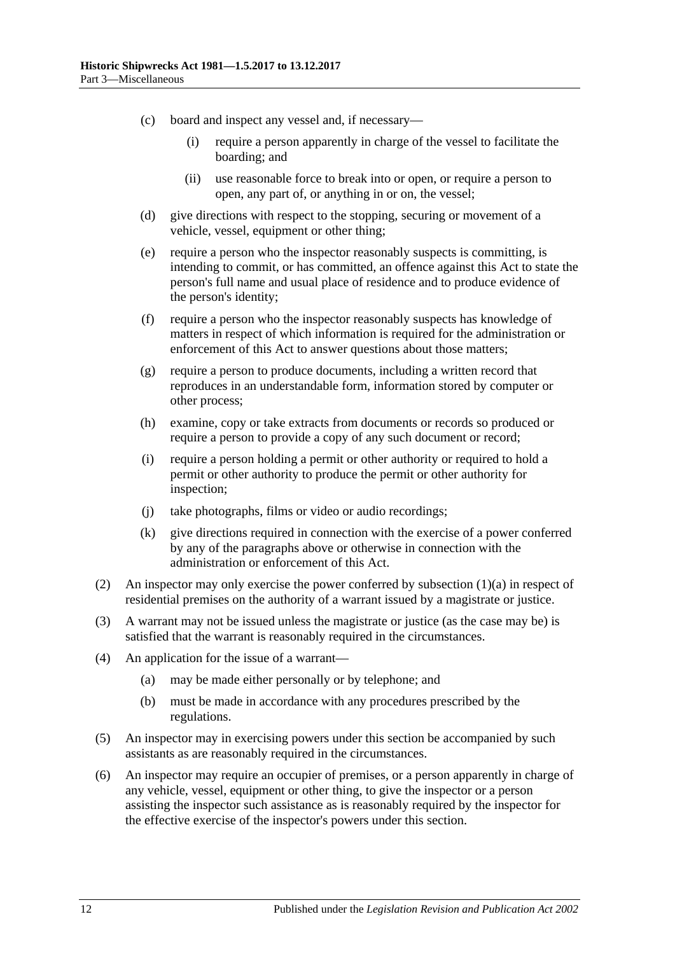- (c) board and inspect any vessel and, if necessary—
	- (i) require a person apparently in charge of the vessel to facilitate the boarding; and
	- (ii) use reasonable force to break into or open, or require a person to open, any part of, or anything in or on, the vessel;
- (d) give directions with respect to the stopping, securing or movement of a vehicle, vessel, equipment or other thing;
- (e) require a person who the inspector reasonably suspects is committing, is intending to commit, or has committed, an offence against this Act to state the person's full name and usual place of residence and to produce evidence of the person's identity;
- (f) require a person who the inspector reasonably suspects has knowledge of matters in respect of which information is required for the administration or enforcement of this Act to answer questions about those matters;
- (g) require a person to produce documents, including a written record that reproduces in an understandable form, information stored by computer or other process;
- (h) examine, copy or take extracts from documents or records so produced or require a person to provide a copy of any such document or record;
- (i) require a person holding a permit or other authority or required to hold a permit or other authority to produce the permit or other authority for inspection;
- (j) take photographs, films or video or audio recordings;
- (k) give directions required in connection with the exercise of a power conferred by any of the paragraphs above or otherwise in connection with the administration or enforcement of this Act.
- (2) An inspector may only exercise the power conferred by [subsection](#page-10-8)  $(1)(a)$  in respect of residential premises on the authority of a warrant issued by a magistrate or justice.
- (3) A warrant may not be issued unless the magistrate or justice (as the case may be) is satisfied that the warrant is reasonably required in the circumstances.
- (4) An application for the issue of a warrant—
	- (a) may be made either personally or by telephone; and
	- (b) must be made in accordance with any procedures prescribed by the regulations.
- (5) An inspector may in exercising powers under this section be accompanied by such assistants as are reasonably required in the circumstances.
- (6) An inspector may require an occupier of premises, or a person apparently in charge of any vehicle, vessel, equipment or other thing, to give the inspector or a person assisting the inspector such assistance as is reasonably required by the inspector for the effective exercise of the inspector's powers under this section.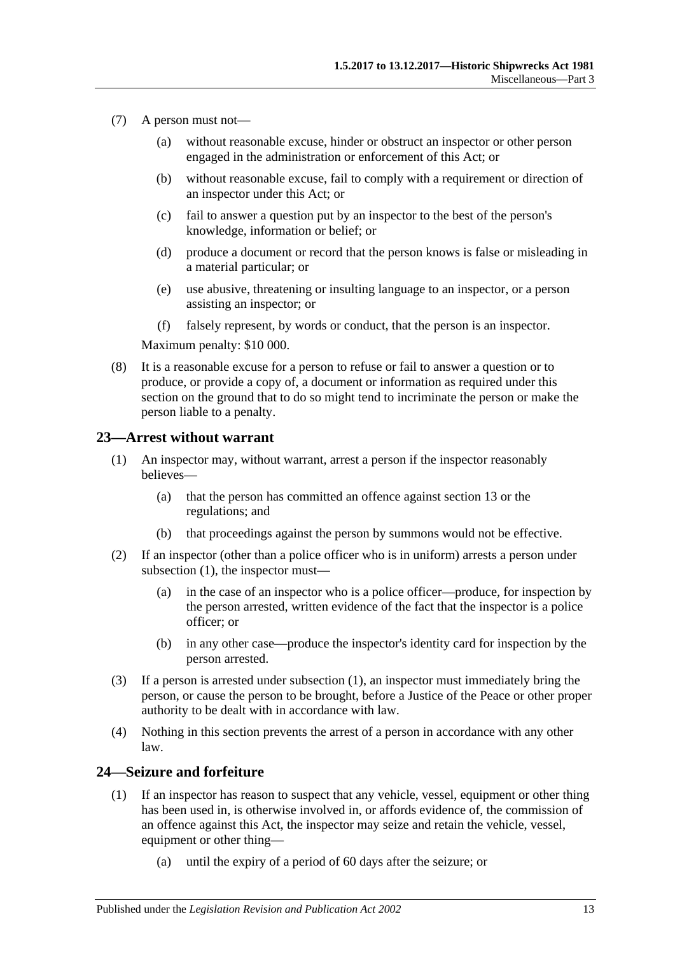- (7) A person must not—
	- (a) without reasonable excuse, hinder or obstruct an inspector or other person engaged in the administration or enforcement of this Act; or
	- (b) without reasonable excuse, fail to comply with a requirement or direction of an inspector under this Act; or
	- (c) fail to answer a question put by an inspector to the best of the person's knowledge, information or belief; or
	- (d) produce a document or record that the person knows is false or misleading in a material particular; or
	- (e) use abusive, threatening or insulting language to an inspector, or a person assisting an inspector; or
	- (f) falsely represent, by words or conduct, that the person is an inspector.

Maximum penalty: \$10 000.

(8) It is a reasonable excuse for a person to refuse or fail to answer a question or to produce, or provide a copy of, a document or information as required under this section on the ground that to do so might tend to incriminate the person or make the person liable to a penalty.

#### <span id="page-12-2"></span><span id="page-12-0"></span>**23—Arrest without warrant**

- (1) An inspector may, without warrant, arrest a person if the inspector reasonably believes—
	- (a) that the person has committed an offence against [section](#page-6-1) 13 or the regulations; and
	- (b) that proceedings against the person by summons would not be effective.
- (2) If an inspector (other than a police officer who is in uniform) arrests a person under [subsection](#page-12-2)  $(1)$ , the inspector must-
	- (a) in the case of an inspector who is a police officer—produce, for inspection by the person arrested, written evidence of the fact that the inspector is a police officer; or
	- (b) in any other case—produce the inspector's identity card for inspection by the person arrested.
- (3) If a person is arrested under [subsection](#page-12-2) (1), an inspector must immediately bring the person, or cause the person to be brought, before a Justice of the Peace or other proper authority to be dealt with in accordance with law.
- (4) Nothing in this section prevents the arrest of a person in accordance with any other law.

# <span id="page-12-1"></span>**24—Seizure and forfeiture**

- (1) If an inspector has reason to suspect that any vehicle, vessel, equipment or other thing has been used in, is otherwise involved in, or affords evidence of, the commission of an offence against this Act, the inspector may seize and retain the vehicle, vessel, equipment or other thing—
	- (a) until the expiry of a period of 60 days after the seizure; or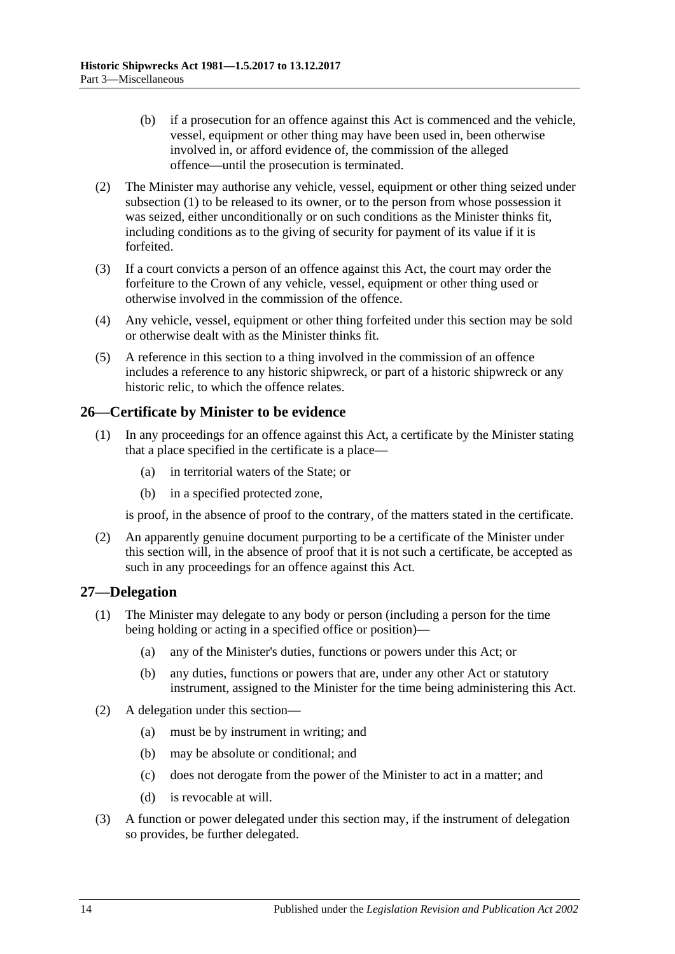- (b) if a prosecution for an offence against this Act is commenced and the vehicle, vessel, equipment or other thing may have been used in, been otherwise involved in, or afford evidence of, the commission of the alleged offence—until the prosecution is terminated.
- (2) The Minister may authorise any vehicle, vessel, equipment or other thing seized under subsection (1) to be released to its owner, or to the person from whose possession it was seized, either unconditionally or on such conditions as the Minister thinks fit, including conditions as to the giving of security for payment of its value if it is forfeited.
- (3) If a court convicts a person of an offence against this Act, the court may order the forfeiture to the Crown of any vehicle, vessel, equipment or other thing used or otherwise involved in the commission of the offence.
- (4) Any vehicle, vessel, equipment or other thing forfeited under this section may be sold or otherwise dealt with as the Minister thinks fit.
- (5) A reference in this section to a thing involved in the commission of an offence includes a reference to any historic shipwreck, or part of a historic shipwreck or any historic relic, to which the offence relates.

# <span id="page-13-0"></span>**26—Certificate by Minister to be evidence**

- (1) In any proceedings for an offence against this Act, a certificate by the Minister stating that a place specified in the certificate is a place—
	- (a) in territorial waters of the State; or
	- (b) in a specified protected zone,

is proof, in the absence of proof to the contrary, of the matters stated in the certificate.

(2) An apparently genuine document purporting to be a certificate of the Minister under this section will, in the absence of proof that it is not such a certificate, be accepted as such in any proceedings for an offence against this Act.

# <span id="page-13-1"></span>**27—Delegation**

- (1) The Minister may delegate to any body or person (including a person for the time being holding or acting in a specified office or position)—
	- (a) any of the Minister's duties, functions or powers under this Act; or
	- (b) any duties, functions or powers that are, under any other Act or statutory instrument, assigned to the Minister for the time being administering this Act.
- (2) A delegation under this section—
	- (a) must be by instrument in writing; and
	- (b) may be absolute or conditional; and
	- (c) does not derogate from the power of the Minister to act in a matter; and
	- (d) is revocable at will.
- (3) A function or power delegated under this section may, if the instrument of delegation so provides, be further delegated.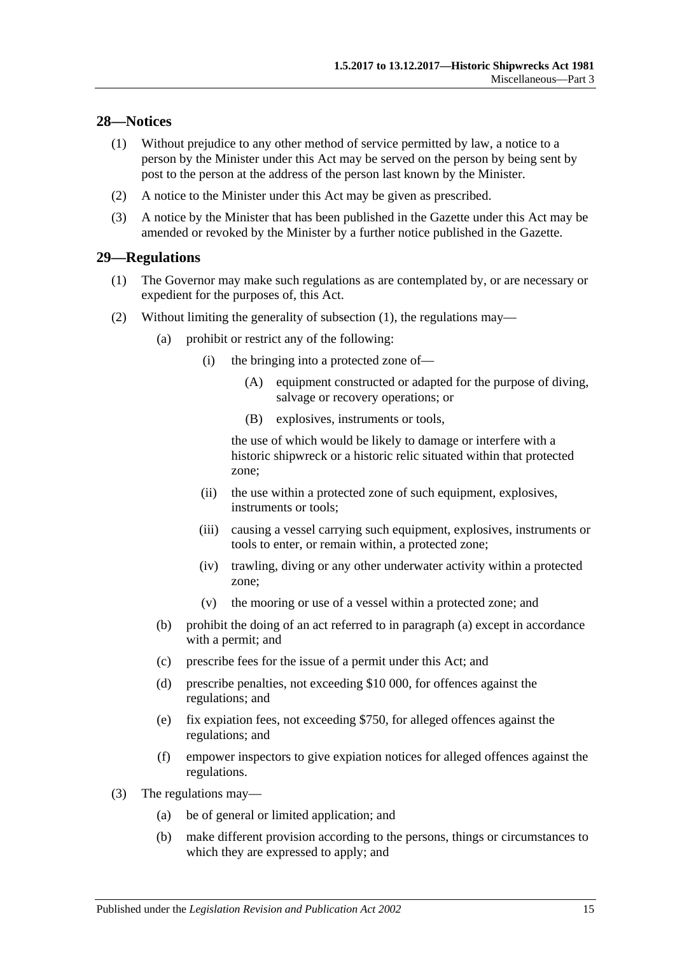# <span id="page-14-0"></span>**28—Notices**

- (1) Without prejudice to any other method of service permitted by law, a notice to a person by the Minister under this Act may be served on the person by being sent by post to the person at the address of the person last known by the Minister.
- (2) A notice to the Minister under this Act may be given as prescribed.
- (3) A notice by the Minister that has been published in the Gazette under this Act may be amended or revoked by the Minister by a further notice published in the Gazette.

# <span id="page-14-2"></span><span id="page-14-1"></span>**29—Regulations**

- (1) The Governor may make such regulations as are contemplated by, or are necessary or expedient for the purposes of, this Act.
- <span id="page-14-3"></span>(2) Without limiting the generality of [subsection](#page-14-2) (1), the regulations may—
	- (a) prohibit or restrict any of the following:
		- (i) the bringing into a protected zone of—
			- (A) equipment constructed or adapted for the purpose of diving, salvage or recovery operations; or
			- (B) explosives, instruments or tools,

the use of which would be likely to damage or interfere with a historic shipwreck or a historic relic situated within that protected zone;

- (ii) the use within a protected zone of such equipment, explosives, instruments or tools;
- (iii) causing a vessel carrying such equipment, explosives, instruments or tools to enter, or remain within, a protected zone;
- (iv) trawling, diving or any other underwater activity within a protected zone;
- (v) the mooring or use of a vessel within a protected zone; and
- (b) prohibit the doing of an act referred to in [paragraph](#page-14-3) (a) except in accordance with a permit; and
- (c) prescribe fees for the issue of a permit under this Act; and
- (d) prescribe penalties, not exceeding \$10 000, for offences against the regulations; and
- (e) fix expiation fees, not exceeding \$750, for alleged offences against the regulations; and
- (f) empower inspectors to give expiation notices for alleged offences against the regulations.
- (3) The regulations may—
	- (a) be of general or limited application; and
	- (b) make different provision according to the persons, things or circumstances to which they are expressed to apply; and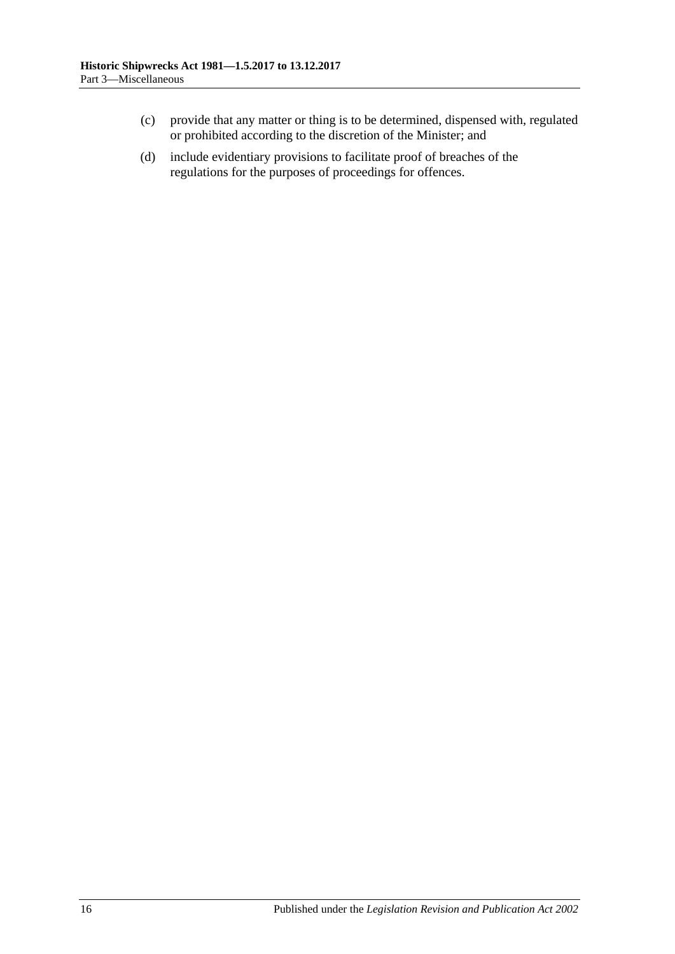- (c) provide that any matter or thing is to be determined, dispensed with, regulated or prohibited according to the discretion of the Minister; and
- (d) include evidentiary provisions to facilitate proof of breaches of the regulations for the purposes of proceedings for offences.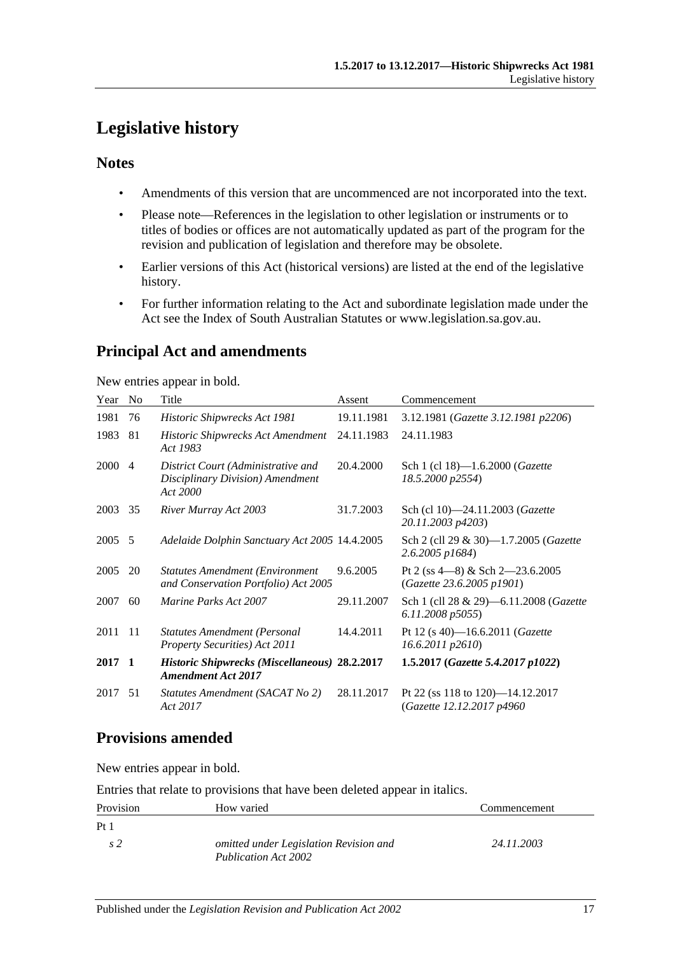# <span id="page-16-0"></span>**Legislative history**

# **Notes**

- Amendments of this version that are uncommenced are not incorporated into the text.
- Please note—References in the legislation to other legislation or instruments or to titles of bodies or offices are not automatically updated as part of the program for the revision and publication of legislation and therefore may be obsolete.
- Earlier versions of this Act (historical versions) are listed at the end of the legislative history.
- For further information relating to the Act and subordinate legislation made under the Act see the Index of South Australian Statutes or www.legislation.sa.gov.au.

# **Principal Act and amendments**

New entries appear in bold.

| Year | N <sub>0</sub> | Title                                                                              | Assent     | Commencement                                                      |
|------|----------------|------------------------------------------------------------------------------------|------------|-------------------------------------------------------------------|
| 1981 | 76             | Historic Shipwrecks Act 1981                                                       | 19.11.1981 | 3.12.1981 (Gazette 3.12.1981 p2206)                               |
| 1983 | 81             | Historic Shipwrecks Act Amendment<br>Act 1983                                      | 24.11.1983 | 24.11.1983                                                        |
| 2000 | $\overline{4}$ | District Court (Administrative and<br>Disciplinary Division) Amendment<br>Act 2000 | 20.4.2000  | Sch 1 (cl 18)-1.6.2000 ( <i>Gazette</i><br>18.5.2000 p2554)       |
| 2003 | 35             | River Murray Act 2003                                                              | 31.7.2003  | Sch (cl 10)-24.11.2003 (Gazette<br>20.11.2003 p4203)              |
| 2005 | 5              | Adelaide Dolphin Sanctuary Act 2005 14.4.2005                                      |            | Sch 2 (cll 29 & 30)-1.7.2005 (Gazette<br>$2.6.2005$ $p1684$ )     |
| 2005 | 20             | <b>Statutes Amendment (Environment</b><br>and Conservation Portfolio) Act 2005     | 9.6.2005   | Pt 2 (ss $4-8$ ) & Sch $2-23.6.2005$<br>(Gazette 23.6.2005 p1901) |
| 2007 | 60             | <i>Marine Parks Act 2007</i>                                                       | 29.11.2007 | Sch 1 (cll 28 & 29)-6.11.2008 (Gazette<br>6.11.2008 p5055)        |
| 2011 | -11            | <b>Statutes Amendment (Personal</b><br>Property Securities) Act 2011               | 14.4.2011  | Pt 12 (s 40)-16.6.2011 (Gazette<br>16.6.2011 p2610)               |
| 2017 | - 1            | <b>Historic Shipwrecks (Miscellaneous) 28.2.2017</b><br><b>Amendment Act 2017</b>  |            | 1.5.2017 (Gazette 5.4.2017 p1022)                                 |
| 2017 | 51             | Statutes Amendment (SACAT No 2)<br>Act 2017                                        | 28.11.2017 | Pt 22 (ss 118 to 120)-14.12.2017<br>(Gazette 12.12.2017 p4960)    |

# **Provisions amended**

New entries appear in bold.

Entries that relate to provisions that have been deleted appear in italics.

| Provision       | How varied                                                     | Commencement |
|-----------------|----------------------------------------------------------------|--------------|
| Pt <sub>1</sub> |                                                                |              |
| s <sub>2</sub>  | omitted under Legislation Revision and<br>Publication Act 2002 | 24.11.2003   |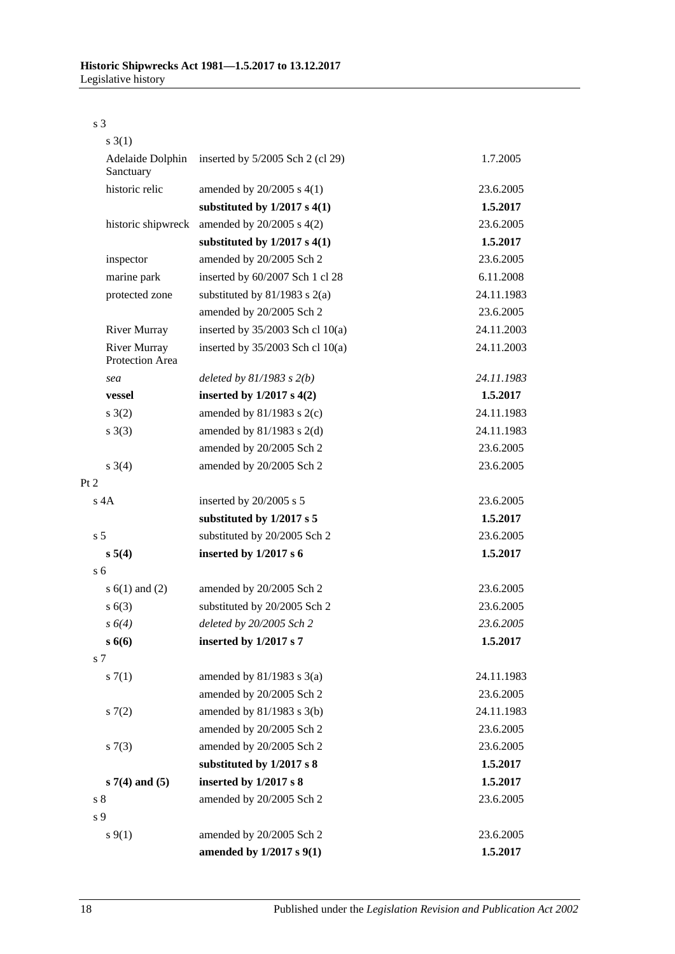s 3

| $s \; 3(1)$                            |                                    |            |
|----------------------------------------|------------------------------------|------------|
| Adelaide Dolphin<br>Sanctuary          | inserted by $5/2005$ Sch 2 (cl 29) | 1.7.2005   |
| historic relic                         | amended by $20/2005$ s $4(1)$      | 23.6.2005  |
|                                        | substituted by $1/2017$ s $4(1)$   | 1.5.2017   |
| historic shipwreck                     | amended by $20/2005$ s $4(2)$      | 23.6.2005  |
|                                        | substituted by $1/2017$ s $4(1)$   | 1.5.2017   |
| inspector                              | amended by 20/2005 Sch 2           | 23.6.2005  |
| marine park                            | inserted by 60/2007 Sch 1 cl 28    | 6.11.2008  |
| protected zone                         | substituted by $81/1983$ s $2(a)$  | 24.11.1983 |
|                                        | amended by 20/2005 Sch 2           | 23.6.2005  |
| <b>River Murray</b>                    | inserted by $35/2003$ Sch cl 10(a) | 24.11.2003 |
| <b>River Murray</b><br>Protection Area | inserted by $35/2003$ Sch cl 10(a) | 24.11.2003 |
| sea                                    | deleted by $81/1983$ s $2(b)$      | 24.11.1983 |
| vessel                                 | inserted by $1/2017$ s $4(2)$      | 1.5.2017   |
| $s \; 3(2)$                            | amended by $81/1983$ s $2(c)$      | 24.11.1983 |
| s(3)                                   | amended by $81/1983$ s $2(d)$      | 24.11.1983 |
|                                        | amended by 20/2005 Sch 2           | 23.6.2005  |
| $s \; 3(4)$                            | amended by 20/2005 Sch 2           | 23.6.2005  |
| Pt 2                                   |                                    |            |
| $s$ 4A                                 | inserted by 20/2005 s 5            | 23.6.2005  |
|                                        | substituted by 1/2017 s 5          | 1.5.2017   |
| s <sub>5</sub>                         | substituted by 20/2005 Sch 2       | 23.6.2005  |
| s 5(4)                                 | inserted by $1/2017 s 6$           | 1.5.2017   |
| s <sub>6</sub>                         |                                    |            |
| s $6(1)$ and $(2)$                     | amended by 20/2005 Sch 2           | 23.6.2005  |
| s(6(3))                                | substituted by 20/2005 Sch 2       | 23.6.2005  |
| s 6(4)                                 | deleted by 20/2005 Sch 2           | 23.6.2005  |
| $s\,6(6)$                              | inserted by 1/2017 s 7             | 1.5.2017   |
| s <sub>7</sub>                         |                                    |            |
| s(7(1)                                 | amended by $81/1983$ s $3(a)$      | 24.11.1983 |
|                                        | amended by 20/2005 Sch 2           | 23.6.2005  |
| s(7(2)                                 | amended by 81/1983 s 3(b)          | 24.11.1983 |
|                                        | amended by 20/2005 Sch 2           | 23.6.2005  |
| s(7(3))                                | amended by 20/2005 Sch 2           | 23.6.2005  |
|                                        | substituted by 1/2017 s 8          | 1.5.2017   |
| $s7(4)$ and $(5)$                      | inserted by 1/2017 s 8             | 1.5.2017   |
| s <sub>8</sub>                         | amended by 20/2005 Sch 2           | 23.6.2005  |
| s 9                                    |                                    |            |
| $s \, 9(1)$                            | amended by 20/2005 Sch 2           | 23.6.2005  |
|                                        | amended by 1/2017 s 9(1)           | 1.5.2017   |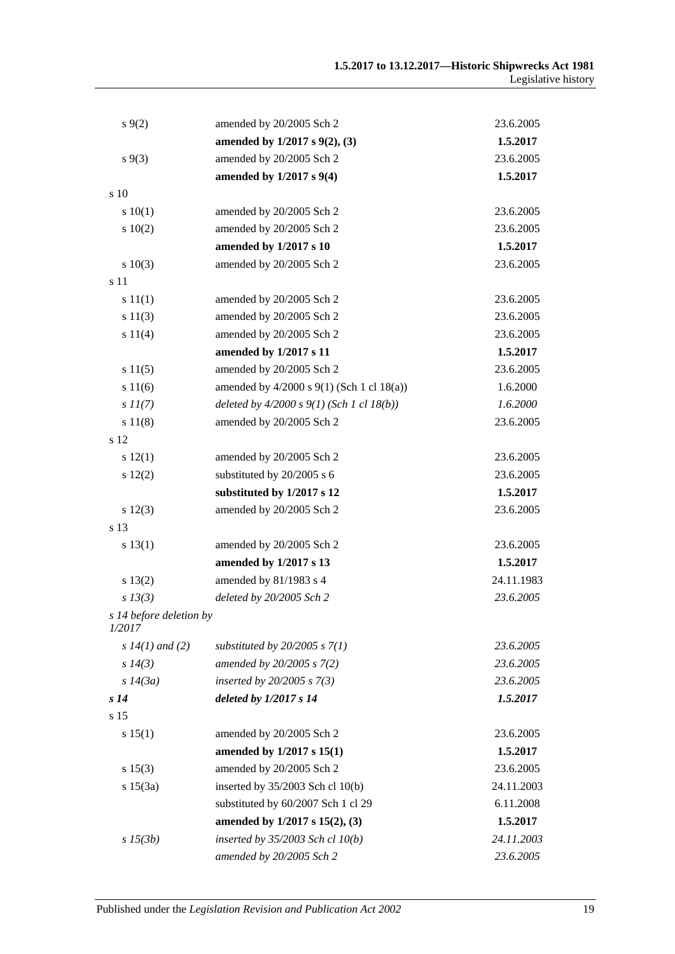| $s \, 9(2)$                       | amended by 20/2005 Sch 2                      | 23.6.2005  |
|-----------------------------------|-----------------------------------------------|------------|
|                                   | amended by 1/2017 s 9(2), (3)                 | 1.5.2017   |
| $s\,9(3)$                         | amended by 20/2005 Sch 2                      | 23.6.2005  |
|                                   | amended by $1/2017$ s $9(4)$                  | 1.5.2017   |
| s 10                              |                                               |            |
| 10(1)                             | amended by 20/2005 Sch 2                      | 23.6.2005  |
| 10(2)                             | amended by 20/2005 Sch 2                      | 23.6.2005  |
|                                   | amended by 1/2017 s 10                        | 1.5.2017   |
| 10(3)                             | amended by 20/2005 Sch 2                      | 23.6.2005  |
| s 11                              |                                               |            |
| s 11(1)                           | amended by 20/2005 Sch 2                      | 23.6.2005  |
| s 11(3)                           | amended by 20/2005 Sch 2                      | 23.6.2005  |
| s 11(4)                           | amended by 20/2005 Sch 2                      | 23.6.2005  |
|                                   | amended by 1/2017 s 11                        | 1.5.2017   |
| s 11(5)                           | amended by 20/2005 Sch 2                      | 23.6.2005  |
| s 11(6)                           | amended by $4/2000$ s $9(1)$ (Sch 1 cl 18(a)) | 1.6.2000   |
| $s\,II(7)$                        | deleted by $4/2000 s 9(1)$ (Sch 1 cl 18(b))   | 1.6.2000   |
| s 11(8)                           | amended by 20/2005 Sch 2                      | 23.6.2005  |
| s 12                              |                                               |            |
| s 12(1)                           | amended by 20/2005 Sch 2                      | 23.6.2005  |
| 12(2)                             | substituted by 20/2005 s 6                    | 23.6.2005  |
|                                   | substituted by 1/2017 s 12                    | 1.5.2017   |
| s 12(3)                           | amended by 20/2005 Sch 2                      | 23.6.2005  |
| s 13                              |                                               |            |
| s 13(1)                           | amended by 20/2005 Sch 2                      | 23.6.2005  |
|                                   | amended by 1/2017 s 13                        | 1.5.2017   |
| s 13(2)                           | amended by 81/1983 s 4                        | 24.11.1983 |
| $s$ 13(3)                         | deleted by 20/2005 Sch 2                      | 23.6.2005  |
| s 14 before deletion by<br>1/2017 |                                               |            |
| $s 14(1)$ and (2)                 | substituted by $20/2005$ s $7(1)$             | 23.6.2005  |
| s 14(3)                           | amended by 20/2005 s 7(2)                     | 23.6.2005  |
| s 14(3a)                          | inserted by $20/2005$ s $7(3)$                | 23.6.2005  |
| s <sub>14</sub>                   | deleted by $1/2017 s 14$                      | 1.5.2017   |
| s 15                              |                                               |            |
| s 15(1)                           | amended by 20/2005 Sch 2                      | 23.6.2005  |
|                                   | amended by 1/2017 s 15(1)                     | 1.5.2017   |
| s 15(3)                           | amended by 20/2005 Sch 2                      | 23.6.2005  |
| s 15(3a)                          | inserted by $35/2003$ Sch cl 10(b)            | 24.11.2003 |
|                                   | substituted by 60/2007 Sch 1 cl 29            | 6.11.2008  |
|                                   | amended by 1/2017 s 15(2), (3)                | 1.5.2017   |
| $s\,15(3b)$                       | inserted by $35/2003$ Sch cl $10(b)$          | 24.11.2003 |
|                                   | amended by 20/2005 Sch 2                      | 23.6.2005  |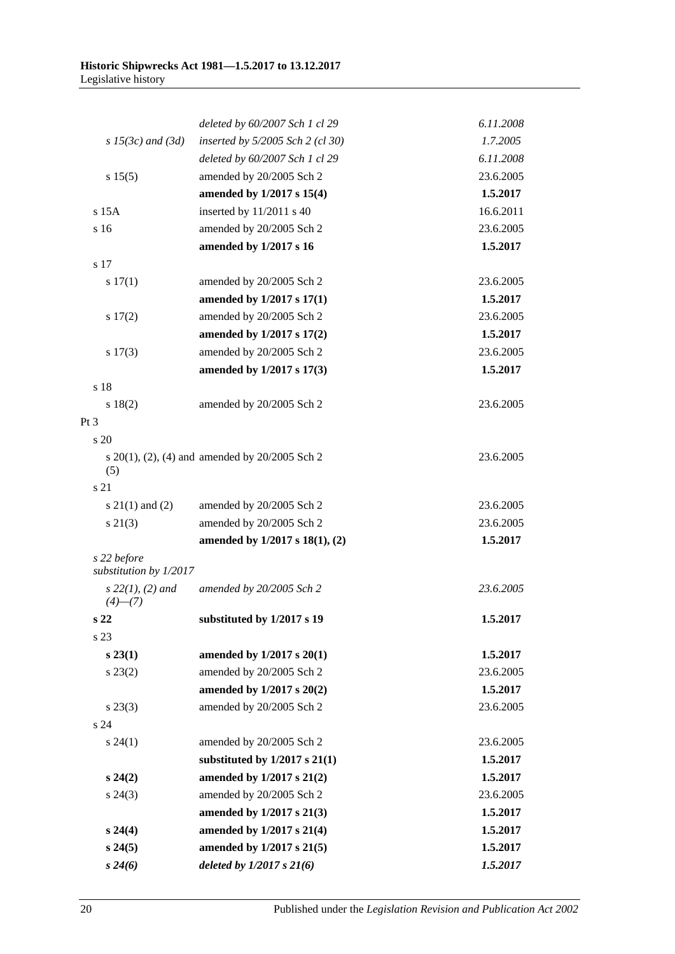|                                       | deleted by 60/2007 Sch 1 cl 29                           | 6.11.2008 |
|---------------------------------------|----------------------------------------------------------|-----------|
| $s$ 15(3c) and (3d)                   | inserted by $5/2005$ Sch 2 (cl 30)                       | 1.7.2005  |
|                                       | deleted by 60/2007 Sch 1 cl 29                           | 6.11.2008 |
| s 15(5)                               | amended by 20/2005 Sch 2                                 | 23.6.2005 |
|                                       | amended by 1/2017 s 15(4)                                | 1.5.2017  |
| $s$ 15 $A$                            | inserted by 11/2011 s 40                                 | 16.6.2011 |
| s 16                                  | amended by 20/2005 Sch 2                                 | 23.6.2005 |
|                                       | amended by 1/2017 s 16                                   | 1.5.2017  |
| s 17                                  |                                                          |           |
| s 17(1)                               | amended by 20/2005 Sch 2                                 | 23.6.2005 |
|                                       | amended by 1/2017 s 17(1)                                | 1.5.2017  |
| 17(2)                                 | amended by 20/2005 Sch 2                                 | 23.6.2005 |
|                                       | amended by 1/2017 s 17(2)                                | 1.5.2017  |
| $s\ 17(3)$                            | amended by 20/2005 Sch 2                                 | 23.6.2005 |
|                                       | amended by 1/2017 s 17(3)                                | 1.5.2017  |
| s 18                                  |                                                          |           |
| s 18(2)                               | amended by 20/2005 Sch 2                                 | 23.6.2005 |
| $Pt\,3$                               |                                                          |           |
| s 20                                  |                                                          |           |
| (5)                                   | s $20(1)$ , $(2)$ , $(4)$ and amended by $20/2005$ Sch 2 | 23.6.2005 |
| s 21                                  |                                                          |           |
| $s \ 21(1)$ and (2)                   | amended by 20/2005 Sch 2                                 | 23.6.2005 |
| $s\ 21(3)$                            | amended by 20/2005 Sch 2                                 | 23.6.2005 |
|                                       | amended by 1/2017 s 18(1), (2)                           | 1.5.2017  |
| s 22 before<br>substitution by 1/2017 |                                                          |           |
| $s\,22(1), (2)$ and<br>$(4)$ — $(7)$  | amended by 20/2005 Sch 2                                 | 23.6.2005 |
| s <sub>22</sub>                       | substituted by 1/2017 s 19                               | 1.5.2017  |
| s 23                                  |                                                          |           |
| $s\,23(1)$                            | amended by 1/2017 s 20(1)                                | 1.5.2017  |
| $s\,23(2)$                            | amended by 20/2005 Sch 2                                 | 23.6.2005 |
|                                       | amended by 1/2017 s 20(2)                                | 1.5.2017  |
| $s\,23(3)$                            | amended by 20/2005 Sch 2                                 | 23.6.2005 |
| s <sub>24</sub>                       |                                                          |           |
| $s\,24(1)$                            | amended by 20/2005 Sch 2                                 | 23.6.2005 |
|                                       | substituted by $1/2017$ s $21(1)$                        | 1.5.2017  |
| $s\,24(2)$                            | amended by 1/2017 s 21(2)                                | 1.5.2017  |
| $s\,24(3)$                            | amended by 20/2005 Sch 2                                 | 23.6.2005 |
|                                       | amended by 1/2017 s 21(3)                                | 1.5.2017  |
| $s\,24(4)$                            | amended by 1/2017 s 21(4)                                | 1.5.2017  |
| s 24(5)                               | amended by 1/2017 s 21(5)                                | 1.5.2017  |
| $s\,24(6)$                            | deleted by $1/2017 s 21(6)$                              | 1.5.2017  |